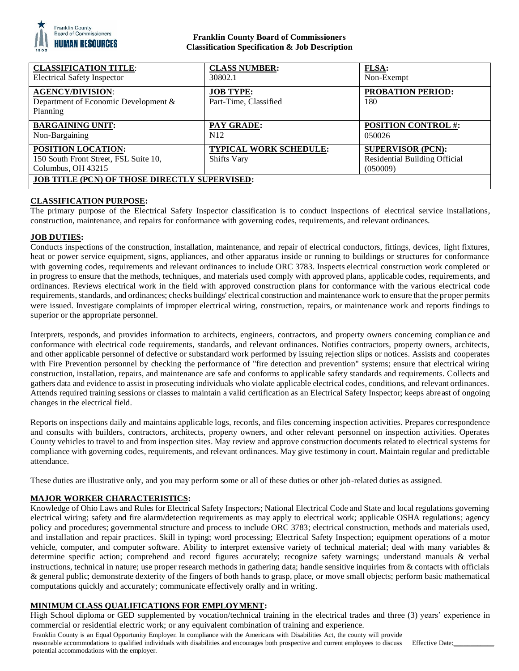

## **Franklin County Board of Commissioners Classification Specification & Job Description**

| <b>CLASSIFICATION TITLE:</b>                                                                                                                     | <b>CLASS NUMBER:</b>                                | <b>FLSA:</b>                                                                 |
|--------------------------------------------------------------------------------------------------------------------------------------------------|-----------------------------------------------------|------------------------------------------------------------------------------|
| <b>Electrical Safety Inspector</b>                                                                                                               | 30802.1                                             | Non-Exempt                                                                   |
| <b>AGENCY/DIVISION:</b><br>Department of Economic Development &<br>Planning                                                                      | <b>JOB TYPE:</b><br>Part-Time, Classified           | <b>PROBATION PERIOD:</b><br>180                                              |
| <b>BARGAINING UNIT:</b>                                                                                                                          | PAY GRADE:                                          | <b>POSITION CONTROL #:</b>                                                   |
| Non-Bargaining                                                                                                                                   | N12                                                 | 050026                                                                       |
| <b>POSITION LOCATION:</b><br>150 South Front Street, FSL Suite 10,<br>Columbus, OH 43215<br><b>JOB TITLE (PCN) OF THOSE DIRECTLY SUPERVISED:</b> | <b>TYPICAL WORK SCHEDULE:</b><br><b>Shifts Vary</b> | <b>SUPERVISOR (PCN):</b><br><b>Residential Building Official</b><br>(050009) |

## **CLASSIFICATION PURPOSE:**

The primary purpose of the Electrical Safety Inspector classification is to conduct inspections of electrical service installations, construction, maintenance, and repairs for conformance with governing codes, requirements, and relevant ordinances.

## **JOB DUTIES:**

Conducts inspections of the construction, installation, maintenance, and repair of electrical conductors, fittings, devices, light fixtures, heat or power service equipment, signs, appliances, and other apparatus inside or running to buildings or structures for conformance with governing codes, requirements and relevant ordinances to include ORC 3783. Inspects electrical construction work completed or in progress to ensure that the methods, techniques, and materials used comply with approved plans, applicable codes, requirements, and ordinances. Reviews electrical work in the field with approved construction plans for conformance with the various electrical code requirements, standards, and ordinances; checks buildings' electrical construction and maintenance work to ensure that the proper permits were issued. Investigate complaints of improper electrical wiring, construction, repairs, or maintenance work and reports findings to superior or the appropriate personnel.

Interprets, responds, and provides information to architects, engineers, contractors, and property owners concerning compliance and conformance with electrical code requirements, standards, and relevant ordinances. Notifies contractors, property owners, architects, and other applicable personnel of defective or substandard work performed by issuing rejection slips or notices. Assists and cooperates with Fire Prevention personnel by checking the performance of "fire detection and prevention" systems; ensure that electrical wiring construction, installation, repairs, and maintenance are safe and conforms to applicable safety standards and requirements. Collects and gathers data and evidence to assist in prosecuting individuals who violate applicable electrical codes, conditions, and relevant ordinances. Attends required training sessions or classes to maintain a valid certification as an Electrical Safety Inspector; keeps abreast of ongoing changes in the electrical field.

Reports on inspections daily and maintains applicable logs, records, and files concerning inspection activities. Prepares correspondence and consults with builders, contractors, architects, property owners, and other relevant personnel on inspection activities. Operates County vehicles to travel to and from inspection sites. May review and approve construction documents related to electrical systems for compliance with governing codes, requirements, and relevant ordinances. May give testimony in court. Maintain regular and predictable attendance.

These duties are illustrative only, and you may perform some or all of these duties or other job-related duties as assigned.

## **MAJOR WORKER CHARACTERISTICS:**

Knowledge of Ohio Laws and Rules for Electrical Safety Inspectors; National Electrical Code and State and local regulations governing electrical wiring; safety and fire alarm/detection requirements as may apply to electrical work; applicable OSHA regulations; agency policy and procedures; governmental structure and process to include ORC 3783; electrical construction, methods and materials used, and installation and repair practices. Skill in typing; word processing; Electrical Safety Inspection; equipment operations of a motor vehicle, computer, and computer software. Ability to interpret extensive variety of technical material; deal with many variables & determine specific action; comprehend and record figures accurately; recognize safety warnings; understand manuals & verbal instructions, technical in nature; use proper research methods in gathering data; handle sensitive inquiries from & contacts with officials & general public; demonstrate dexterity of the fingers of both hands to grasp, place, or move small objects; perform basic mathematical computations quickly and accurately; communicate effectively orally and in writing.

## **MINIMUM CLASS QUALIFICATIONS FOR EMPLOYMENT:**

High School diploma or GED supplemented by vocation/technical training in the electrical trades and three (3) years' experience in commercial or residential electric work; or any equivalent combination of training and experience.

Franklin County is an Equal Opportunity Employer. In compliance with the Americans with Disabilities Act, the county will provide reasonable accommodations to qualified individuals with disabilities and encourages both prospective and current employees to discuss potential accommodations with the employer. Effective Date: